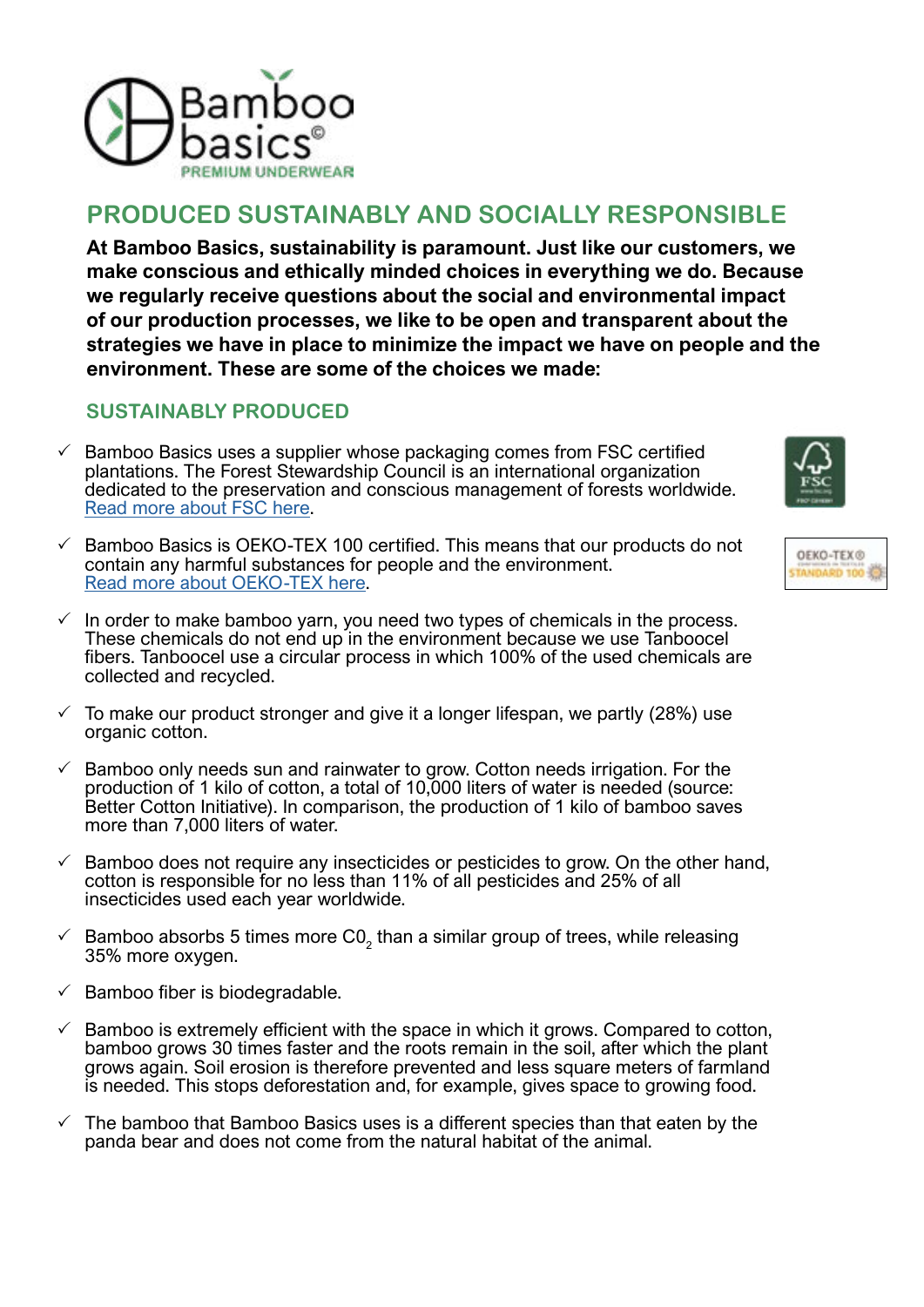

## **PRODUCED SUSTAINABLY AND SOCIALLY RESPONSIBLE**

**At Bamboo Basics, sustainability is paramount. Just like our customers, we make conscious and ethically minded choices in everything we do. Because we regularly receive questions about the social and environmental impact of our production processes, we like to be open and transparent about the strategies we have in place to minimize the impact we have on people and the environment. These are some of the choices we made:**

## **SUSTAINABLY PRODUCED**

- $\checkmark$  Bamboo Basics uses a supplier whose packaging comes from FSC certified plantations. The Forest Stewardship Council is an international organization dedicated to the preservation and conscious management of forests worldwide. Read more abou[t FSC](https://www.fsc.org/en) here.
- 3 Bamboo Basics is OEKO-TEX 100 certified. This means that our products do not contain any harmful substances for people and the environment. Read more abou[t OEKO-TEX](https://www.oeko-tex.com/en/our-standards/standard-100-by-oeko-tex) here.
- $\checkmark$  In order to make bamboo yarn, you need two types of chemicals in the process. These chemicals do not end up in the environment because we use Tanboocel fibers. Tanboocel use a circular process in which 100% of the used chemicals are collected and recycled.
- $\checkmark$  To make our product stronger and give it a longer lifespan, we partly (28%) use organic cotton.
- $\checkmark$  Bamboo only needs sun and rainwater to grow. Cotton needs irrigation. For the production of 1 kilo of cotton, a total of 10,000 liters of water is needed (source: Better Cotton Initiative). In comparison, the production of 1 kilo of bamboo saves more than 7,000 liters of water.
- $\checkmark$  Bamboo does not require any insecticides or pesticides to grow. On the other hand, cotton is responsible for no less than 11% of all pesticides and 25% of all insecticides used each year worldwide.
- $\frac{1}{2}$  Bamboo absorbs 5 times more C0<sub>2</sub> than a similar group of trees, while releasing 35% more oxygen.
- $\checkmark$  Bamboo fiber is biodegradable.
- $\checkmark$  Bamboo is extremely efficient with the space in which it grows. Compared to cotton, bamboo grows 30 times faster and the roots remain in the soil, after which the plant grows again. Soil erosion is therefore prevented and less square meters of farmland is needed. This stops deforestation and, for example, gives space to growing food.
- The bamboo that Bamboo Basics uses is a different species than that eaten by the panda bear and does not come from the natural habitat of the animal.